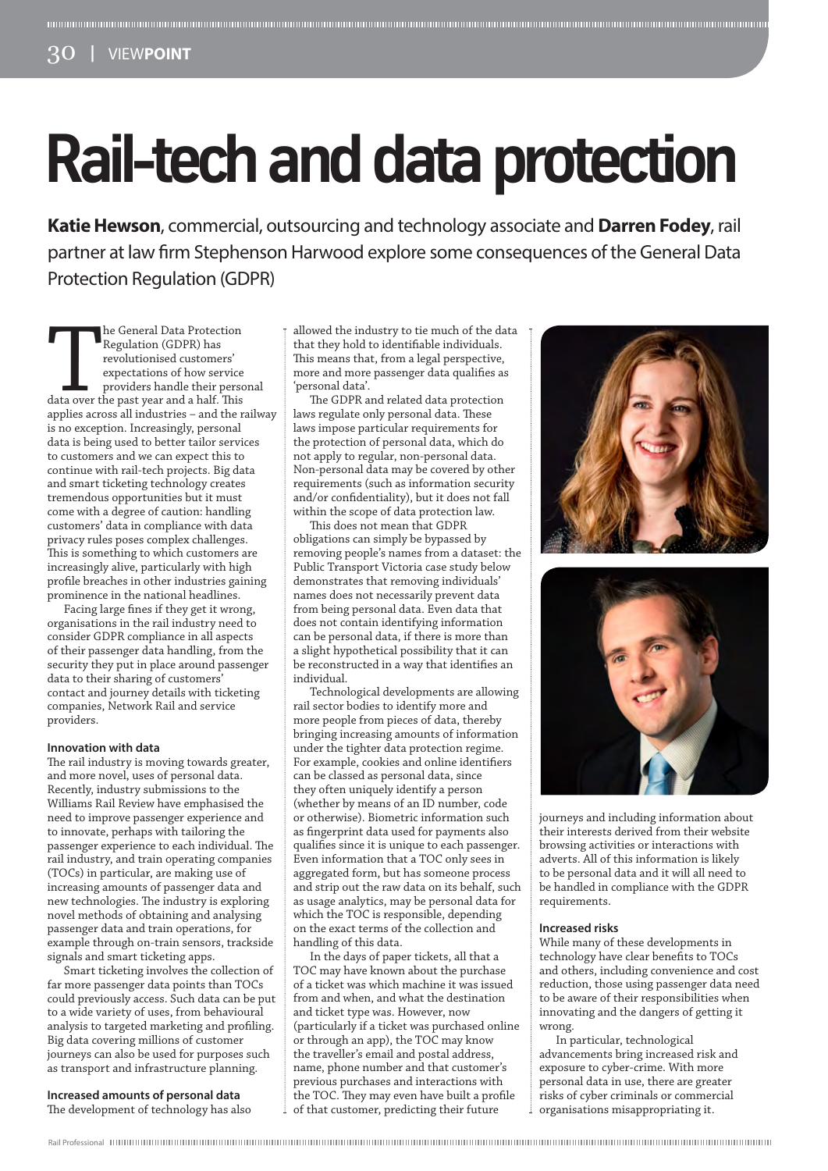# **Rail-tech and data protection**

**Katie Hewson**, commercial, outsourcing and technology associate and **Darren Fodey**, rail partner at law firm Stephenson Harwood explore some consequences of the General Data Protection Regulation (GDPR)

The General Data Protection<br>
Regulation (GDPR) has<br>
revolutionised customers'<br>
expectations of how service<br>
providers handle their perso<br>
data over the past year and a half. This<br>
annlies across all industries – and the r. he General Data Protection Regulation (GDPR) has revolutionised customers' expectations of how service providers handle their personal applies across all industries – and the railway is no exception. Increasingly, personal data is being used to better tailor services to customers and we can expect this to continue with rail-tech projects. Big data and smart ticketing technology creates tremendous opportunities but it must come with a degree of caution: handling customers' data in compliance with data privacy rules poses complex challenges. This is something to which customers are increasingly alive, particularly with high profile breaches in other industries gaining prominence in the national headlines.

Facing large fines if they get it wrong, organisations in the rail industry need to consider GDPR compliance in all aspects of their passenger data handling, from the security they put in place around passenger data to their sharing of customers' contact and journey details with ticketing companies, Network Rail and service providers.

### **Innovation with data**

The rail industry is moving towards greater, and more novel, uses of personal data. Recently, industry submissions to the Williams Rail Review have emphasised the need to improve passenger experience and to innovate, perhaps with tailoring the passenger experience to each individual. The rail industry, and train operating companies (TOCs) in particular, are making use of increasing amounts of passenger data and new technologies. The industry is exploring novel methods of obtaining and analysing passenger data and train operations, for example through on-train sensors, trackside signals and smart ticketing apps.

Smart ticketing involves the collection of far more passenger data points than TOCs could previously access. Such data can be put to a wide variety of uses, from behavioural analysis to targeted marketing and profiling. Big data covering millions of customer journeys can also be used for purposes such as transport and infrastructure planning.

# **Increased amounts of personal data** The development of technology has also

allowed the industry to tie much of the data that they hold to identifiable individuals. This means that, from a legal perspective, more and more passenger data qualifies as 'personal data'.

The GDPR and related data protection laws regulate only personal data. These laws impose particular requirements for the protection of personal data, which do not apply to regular, non-personal data. Non-personal data may be covered by other requirements (such as information security and/or confidentiality), but it does not fall within the scope of data protection law.

This does not mean that GDPR obligations can simply be bypassed by removing people's names from a dataset: the Public Transport Victoria case study below demonstrates that removing individuals' names does not necessarily prevent data from being personal data. Even data that does not contain identifying information can be personal data, if there is more than a slight hypothetical possibility that it can be reconstructed in a way that identifies an individual.

Technological developments are allowing rail sector bodies to identify more and more people from pieces of data, thereby bringing increasing amounts of information under the tighter data protection regime. For example, cookies and online identifiers can be classed as personal data, since they often uniquely identify a person (whether by means of an ID number, code or otherwise). Biometric information such as fingerprint data used for payments also qualifies since it is unique to each passenger. Even information that a TOC only sees in aggregated form, but has someone process and strip out the raw data on its behalf, such as usage analytics, may be personal data for which the TOC is responsible, depending on the exact terms of the collection and handling of this data.

In the days of paper tickets, all that a TOC may have known about the purchase of a ticket was which machine it was issued from and when, and what the destination and ticket type was. However, now (particularly if a ticket was purchased online or through an app), the TOC may know the traveller's email and postal address, name, phone number and that customer's previous purchases and interactions with the TOC. They may even have built a profile of that customer, predicting their future





journeys and including information about their interests derived from their website browsing activities or interactions with adverts. All of this information is likely to be personal data and it will all need to be handled in compliance with the GDPR requirements.

### **Increased risks**

While many of these developments in technology have clear benefits to TOCs and others, including convenience and cost reduction, those using passenger data need to be aware of their responsibilities when innovating and the dangers of getting it wrong.

In particular, technological advancements bring increased risk and exposure to cyber-crime. With more personal data in use, there are greater risks of cyber criminals or commercial organisations misappropriating it.